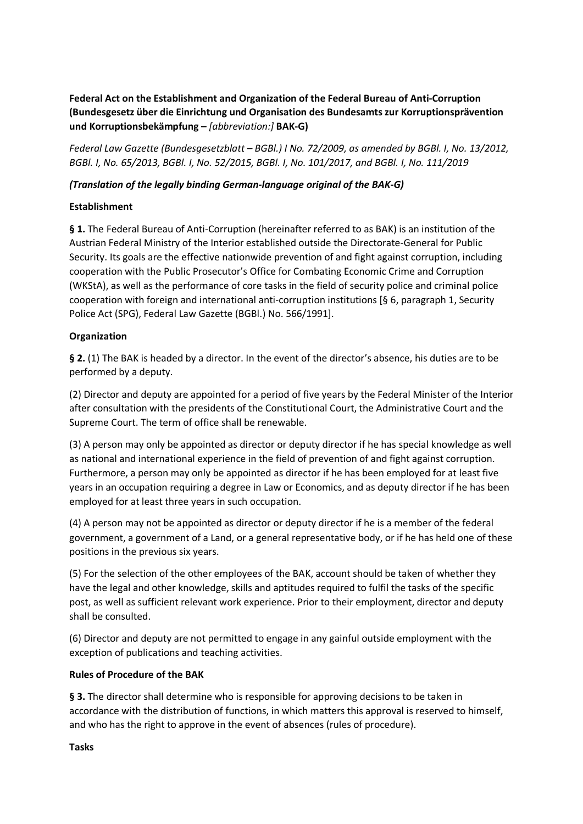**Federal Act on the Establishment and Organization of the Federal Bureau of Anti-Corruption (Bundesgesetz über die Einrichtung und Organisation des Bundesamts zur Korruptionsprävention und Korruptionsbekämpfung –** *[abbreviation:]* **BAK-G)** 

*Federal Law Gazette (Bundesgesetzblatt – BGBl.) I No. 72/2009, as amended by BGBl. I, No. 13/2012, BGBl. I, No. 65/2013, BGBl. I, No. 52/2015, BGBl. I, No. 101/2017, and BGBl. I, No. 111/2019*

### *(Translation of the legally binding German-language original of the BAK-G)*

#### **Establishment**

**§ 1.** The Federal Bureau of Anti-Corruption (hereinafter referred to as BAK) is an institution of the Austrian Federal Ministry of the Interior established outside the Directorate-General for Public Security. Its goals are the effective nationwide prevention of and fight against corruption, including cooperation with the Public Prosecutor's Office for Combating Economic Crime and Corruption (WKStA), as well as the performance of core tasks in the field of security police and criminal police cooperation with foreign and international anti-corruption institutions [§ 6, paragraph 1, Security Police Act (SPG), Federal Law Gazette (BGBl.) No. 566/1991].

### **Organization**

**§ 2.** (1) The BAK is headed by a director. In the event of the director's absence, his duties are to be performed by a deputy.

(2) Director and deputy are appointed for a period of five years by the Federal Minister of the Interior after consultation with the presidents of the Constitutional Court, the Administrative Court and the Supreme Court. The term of office shall be renewable.

(3) A person may only be appointed as director or deputy director if he has special knowledge as well as national and international experience in the field of prevention of and fight against corruption. Furthermore, a person may only be appointed as director if he has been employed for at least five years in an occupation requiring a degree in Law or Economics, and as deputy director if he has been employed for at least three years in such occupation.

(4) A person may not be appointed as director or deputy director if he is a member of the federal government, a government of a Land, or a general representative body, or if he has held one of these positions in the previous six years.

(5) For the selection of the other employees of the BAK, account should be taken of whether they have the legal and other knowledge, skills and aptitudes required to fulfil the tasks of the specific post, as well as sufficient relevant work experience. Prior to their employment, director and deputy shall be consulted.

(6) Director and deputy are not permitted to engage in any gainful outside employment with the exception of publications and teaching activities.

#### **Rules of Procedure of the BAK**

**§ 3.** The director shall determine who is responsible for approving decisions to be taken in accordance with the distribution of functions, in which matters this approval is reserved to himself, and who has the right to approve in the event of absences (rules of procedure).

#### **Tasks**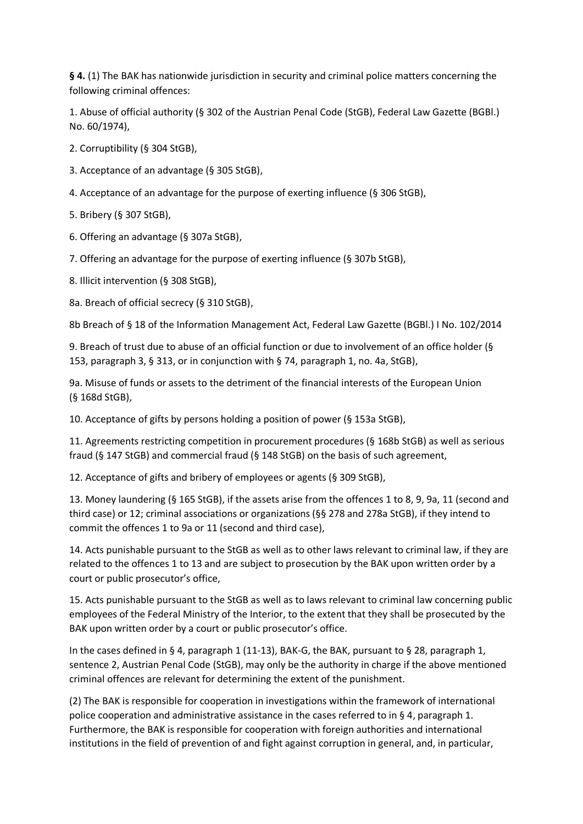**§ 4.** (1) The BAK has nationwide jurisdiction in security and criminal police matters concerning the following criminal offences:

1. Abuse of official authority (§ 302 of the Austrian Penal Code (StGB), Federal Law Gazette (BGBl.) No. 60/1974),

2. Corruptibility (§ 304 StGB),

- 3. Acceptance of an advantage (§ 305 StGB),
- 4. Acceptance of an advantage for the purpose of exerting influence (§ 306 StGB),

5. Bribery (§ 307 StGB),

- 6. Offering an advantage (§ 307a StGB),
- 7. Offering an advantage for the purpose of exerting influence (§ 307b StGB),
- 8. Illicit intervention (§ 308 StGB),

8a. Breach of official secrecy (§ 310 StGB),

8b Breach of § 18 of the Information Management Act, Federal Law Gazette (BGBl.) I No. 102/2014

9. Breach of trust due to abuse of an official function or due to involvement of an office holder (§ 153, paragraph 3, § 313, or in conjunction with § 74, paragraph 1, no. 4a, StGB),

9a. Misuse of funds or assets to the detriment of the financial interests of the European Union (§ 168d StGB),

10. Acceptance of gifts by persons holding a position of power (§ 153a StGB),

11. Agreements restricting competition in procurement procedures (§ 168b StGB) as well as serious fraud (§ 147 StGB) and commercial fraud (§ 148 StGB) on the basis of such agreement,

12. Acceptance of gifts and bribery of employees or agents (§ 309 StGB),

13. Money laundering (§ 165 StGB), if the assets arise from the offences 1 to 8, 9, 9a, 11 (second and third case) or 12; criminal associations or organizations (§§ 278 and 278a StGB), if they intend to commit the offences 1 to 9a or 11 (second and third case),

14. Acts punishable pursuant to the StGB as well as to other laws relevant to criminal law, if they are related to the offences 1 to 13 and are subject to prosecution by the BAK upon written order by a court or public prosecutor's office,

15. Acts punishable pursuant to the StGB as well as to laws relevant to criminal law concerning public employees of the Federal Ministry of the Interior, to the extent that they shall be prosecuted by the BAK upon written order by a court or public prosecutor's office.

In the cases defined in § 4, paragraph 1 (11-13), BAK-G, the BAK, pursuant to § 28, paragraph 1, sentence 2, Austrian Penal Code (StGB), may only be the authority in charge if the above mentioned criminal offences are relevant for determining the extent of the punishment.

(2) The BAK is responsible for cooperation in investigations within the framework of international police cooperation and administrative assistance in the cases referred to in § 4, paragraph 1. Furthermore, the BAK is responsible for cooperation with foreign authorities and international institutions in the field of prevention of and fight against corruption in general, and, in particular,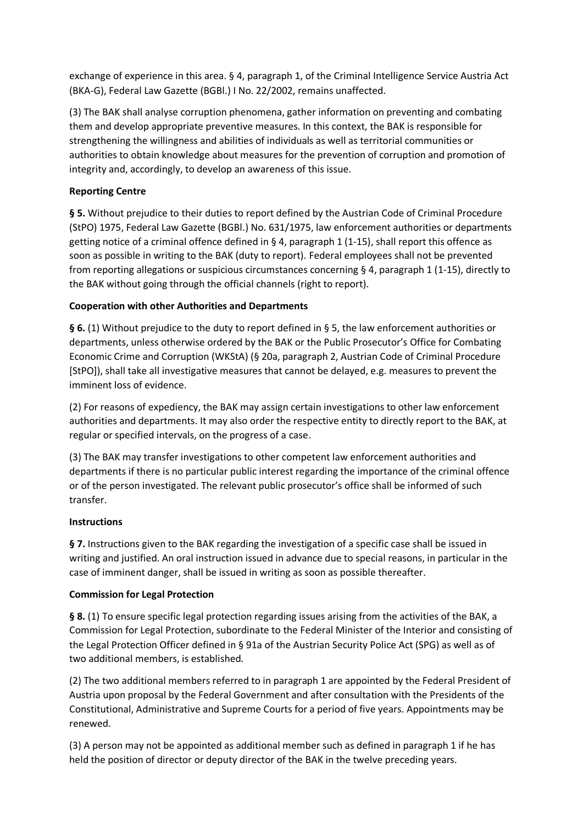exchange of experience in this area. § 4, paragraph 1, of the Criminal Intelligence Service Austria Act (BKA-G), Federal Law Gazette (BGBl.) I No. 22/2002, remains unaffected.

(3) The BAK shall analyse corruption phenomena, gather information on preventing and combating them and develop appropriate preventive measures. In this context, the BAK is responsible for strengthening the willingness and abilities of individuals as well as territorial communities or authorities to obtain knowledge about measures for the prevention of corruption and promotion of integrity and, accordingly, to develop an awareness of this issue.

## **Reporting Centre**

**§ 5.** Without prejudice to their duties to report defined by the Austrian Code of Criminal Procedure (StPO) 1975, Federal Law Gazette (BGBl.) No. 631/1975, law enforcement authorities or departments getting notice of a criminal offence defined in § 4, paragraph 1 (1-15), shall report this offence as soon as possible in writing to the BAK (duty to report). Federal employees shall not be prevented from reporting allegations or suspicious circumstances concerning § 4, paragraph 1 (1-15), directly to the BAK without going through the official channels (right to report).

# **Cooperation with other Authorities and Departments**

**§ 6.** (1) Without prejudice to the duty to report defined in § 5, the law enforcement authorities or departments, unless otherwise ordered by the BAK or the Public Prosecutor's Office for Combating Economic Crime and Corruption (WKStA) (§ 20a, paragraph 2, Austrian Code of Criminal Procedure [StPO]), shall take all investigative measures that cannot be delayed, e.g. measures to prevent the imminent loss of evidence.

(2) For reasons of expediency, the BAK may assign certain investigations to other law enforcement authorities and departments. It may also order the respective entity to directly report to the BAK, at regular or specified intervals, on the progress of a case.

(3) The BAK may transfer investigations to other competent law enforcement authorities and departments if there is no particular public interest regarding the importance of the criminal offence or of the person investigated. The relevant public prosecutor's office shall be informed of such transfer.

### **Instructions**

§ 7. Instructions given to the BAK regarding the investigation of a specific case shall be issued in writing and justified. An oral instruction issued in advance due to special reasons, in particular in the case of imminent danger, shall be issued in writing as soon as possible thereafter.

### **Commission for Legal Protection**

**§ 8.** (1) To ensure specific legal protection regarding issues arising from the activities of the BAK, a Commission for Legal Protection, subordinate to the Federal Minister of the Interior and consisting of the Legal Protection Officer defined in § 91a of the Austrian Security Police Act (SPG) as well as of two additional members, is established.

(2) The two additional members referred to in paragraph 1 are appointed by the Federal President of Austria upon proposal by the Federal Government and after consultation with the Presidents of the Constitutional, Administrative and Supreme Courts for a period of five years. Appointments may be renewed.

(3) A person may not be appointed as additional member such as defined in paragraph 1 if he has held the position of director or deputy director of the BAK in the twelve preceding years.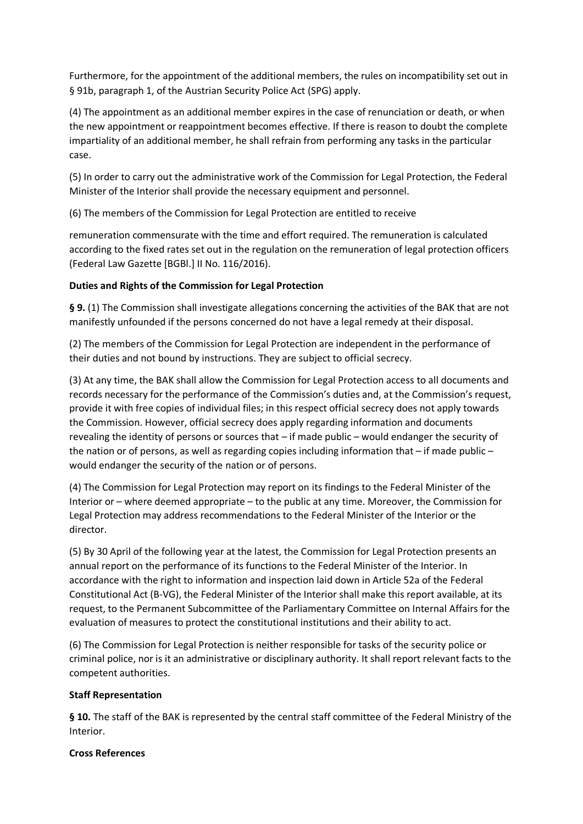Furthermore, for the appointment of the additional members, the rules on incompatibility set out in § 91b, paragraph 1, of the Austrian Security Police Act (SPG) apply.

(4) The appointment as an additional member expires in the case of renunciation or death, or when the new appointment or reappointment becomes effective. If there is reason to doubt the complete impartiality of an additional member, he shall refrain from performing any tasks in the particular case.

(5) In order to carry out the administrative work of the Commission for Legal Protection, the Federal Minister of the Interior shall provide the necessary equipment and personnel.

(6) The members of the Commission for Legal Protection are entitled to receive

remuneration commensurate with the time and effort required. The remuneration is calculated according to the fixed rates set out in the regulation on the remuneration of legal protection officers (Federal Law Gazette [BGBl.] II No. 116/2016).

### **Duties and Rights of the Commission for Legal Protection**

**§ 9.** (1) The Commission shall investigate allegations concerning the activities of the BAK that are not manifestly unfounded if the persons concerned do not have a legal remedy at their disposal.

(2) The members of the Commission for Legal Protection are independent in the performance of their duties and not bound by instructions. They are subject to official secrecy.

(3) At any time, the BAK shall allow the Commission for Legal Protection access to all documents and records necessary for the performance of the Commission's duties and, at the Commission's request, provide it with free copies of individual files; in this respect official secrecy does not apply towards the Commission. However, official secrecy does apply regarding information and documents revealing the identity of persons or sources that – if made public – would endanger the security of the nation or of persons, as well as regarding copies including information that – if made public – would endanger the security of the nation or of persons.

(4) The Commission for Legal Protection may report on its findings to the Federal Minister of the Interior or – where deemed appropriate – to the public at any time. Moreover, the Commission for Legal Protection may address recommendations to the Federal Minister of the Interior or the director.

(5) By 30 April of the following year at the latest, the Commission for Legal Protection presents an annual report on the performance of its functions to the Federal Minister of the Interior. In accordance with the right to information and inspection laid down in Article 52a of the Federal Constitutional Act (B-VG), the Federal Minister of the Interior shall make this report available, at its request, to the Permanent Subcommittee of the Parliamentary Committee on Internal Affairs for the evaluation of measures to protect the constitutional institutions and their ability to act.

(6) The Commission for Legal Protection is neither responsible for tasks of the security police or criminal police, nor is it an administrative or disciplinary authority. It shall report relevant facts to the competent authorities.

### **Staff Representation**

**§ 10.** The staff of the BAK is represented by the central staff committee of the Federal Ministry of the Interior.

#### **Cross References**